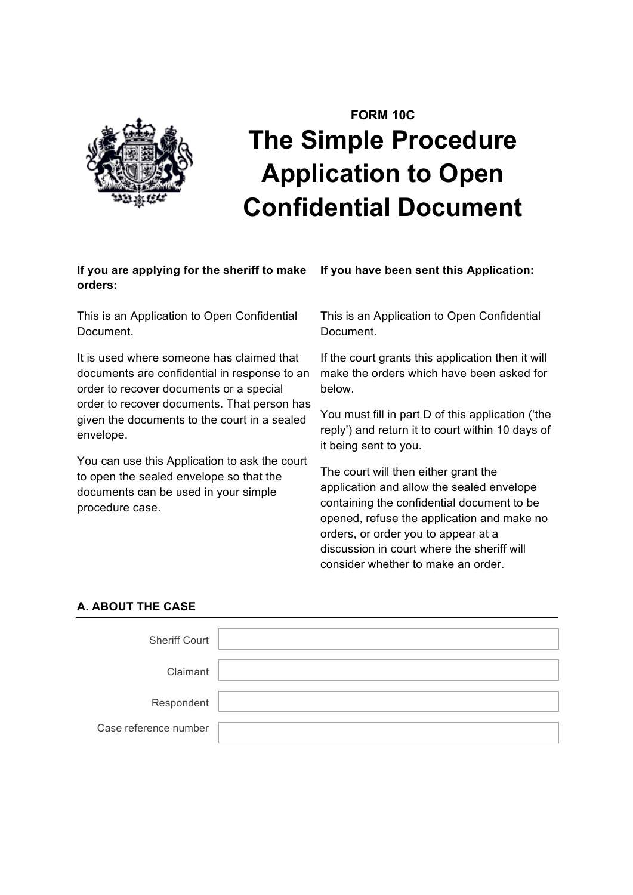

# **FORM 10C The Simple Procedure Application to Open Confidential Document**

# **If you are applying for the sheriff to make orders:**

This is an Application to Open Confidential Document.

It is used where someone has claimed that documents are confidential in response to an order to recover documents or a special order to recover documents. That person has given the documents to the court in a sealed envelope.

You can use this Application to ask the court to open the sealed envelope so that the documents can be used in your simple procedure case.

**If you have been sent this Application:**

This is an Application to Open Confidential Document.

If the court grants this application then it will make the orders which have been asked for below.

You must fill in part D of this application ('the reply') and return it to court within 10 days of it being sent to you.

The court will then either grant the application and allow the sealed envelope containing the confidential document to be opened, refuse the application and make no orders, or order you to appear at a discussion in court where the sheriff will consider whether to make an order.

# **A. ABOUT THE CASE**

| <b>Sheriff Court</b>  |  |
|-----------------------|--|
|                       |  |
| Claimant              |  |
| Respondent            |  |
|                       |  |
| Case reference number |  |
|                       |  |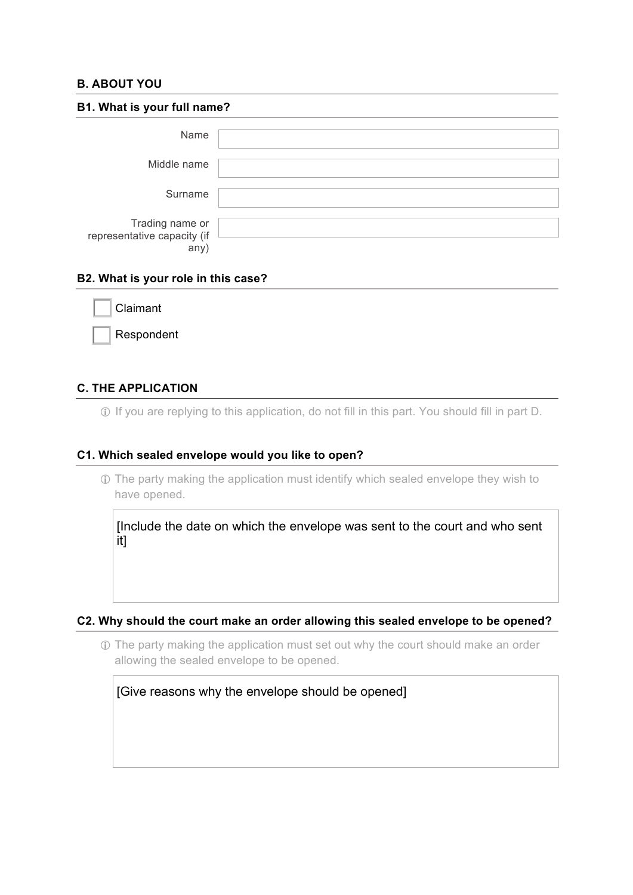# **B. ABOUT YOU**

| B1. What is your full name?                            |  |  |
|--------------------------------------------------------|--|--|
| Name                                                   |  |  |
| Middle name                                            |  |  |
| Surname                                                |  |  |
| Trading name or<br>representative capacity (if<br>any) |  |  |

## **B2. What is your role in this case?**

| Claimant   |
|------------|
| Respondent |

# **C. THE APPLICATION**

! If you are replying to this application, do not fill in this part. You should fill in part D.

## **C1. Which sealed envelope would you like to open?**

! The party making the application must identify which sealed envelope they wish to have opened.

[Include the date on which the envelope was sent to the court and who sent it]

#### **C2. Why should the court make an order allowing this sealed envelope to be opened?**

! The party making the application must set out why the court should make an order allowing the sealed envelope to be opened.

[Give reasons why the envelope should be opened]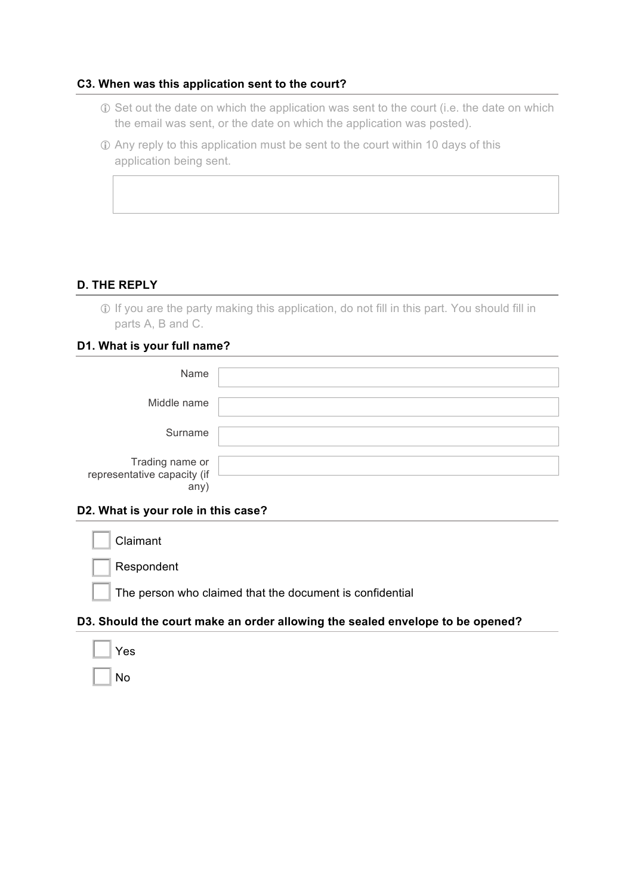#### **C3. When was this application sent to the court?**

- ! Set out the date on which the application was sent to the court (i.e. the date on which the email was sent, or the date on which the application was posted).
- ! Any reply to this application must be sent to the court within 10 days of this application being sent.

# **D. THE REPLY**

! If you are the party making this application, do not fill in this part. You should fill in parts A, B and C.

## **D1. What is your full name?**

| Name                                                  |  |
|-------------------------------------------------------|--|
| Middle name                                           |  |
| Surname                                               |  |
| Trading name or<br>representative capacity (if<br>any |  |

#### **D2. What is your role in this case?**

**Claimant** Respondent The person who claimed that the document is confidential

# **D3. Should the court make an order allowing the sealed envelope to be opened?**

| Yes |
|-----|
| N٥  |